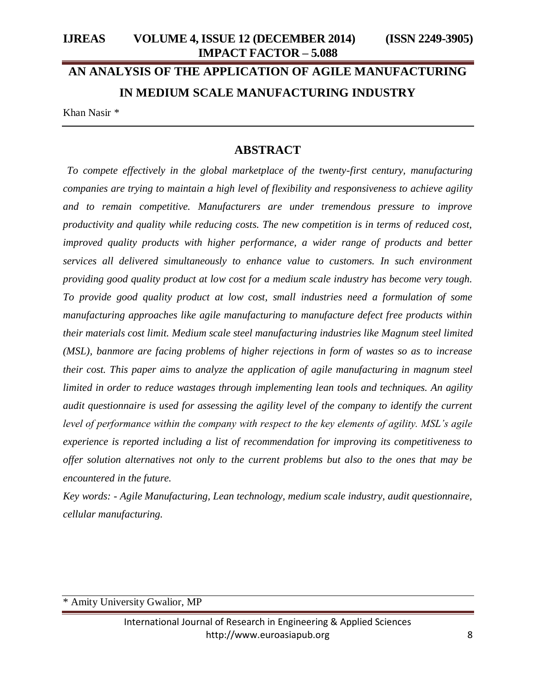# **AN ANALYSIS OF THE APPLICATION OF AGILE MANUFACTURING IN MEDIUM SCALE MANUFACTURING INDUSTRY**

Khan Nasir *\**

# **ABSTRACT**

*To compete effectively in the global marketplace of the twenty-first century, manufacturing companies are trying to maintain a high level of flexibility and responsiveness to achieve agility and to remain competitive. Manufacturers are under tremendous pressure to improve productivity and quality while reducing costs. The new competition is in terms of reduced cost, improved quality products with higher performance, a wider range of products and better services all delivered simultaneously to enhance value to customers. In such environment providing good quality product at low cost for a medium scale industry has become very tough. To provide good quality product at low cost, small industries need a formulation of some manufacturing approaches like agile manufacturing to manufacture defect free products within their materials cost limit. Medium scale steel manufacturing industries like Magnum steel limited (MSL), banmore are facing problems of higher rejections in form of wastes so as to increase their cost. This paper aims to analyze the application of agile manufacturing in magnum steel limited in order to reduce wastages through implementing lean tools and techniques. An agility audit questionnaire is used for assessing the agility level of the company to identify the current level of performance within the company with respect to the key elements of agility. MSL's agile experience is reported including a list of recommendation for improving its competitiveness to offer solution alternatives not only to the current problems but also to the ones that may be encountered in the future.*

*Key words: - Agile Manufacturing, Lean technology, medium scale industry, audit questionnaire, cellular manufacturing.*

\* Amity University Gwalior, MP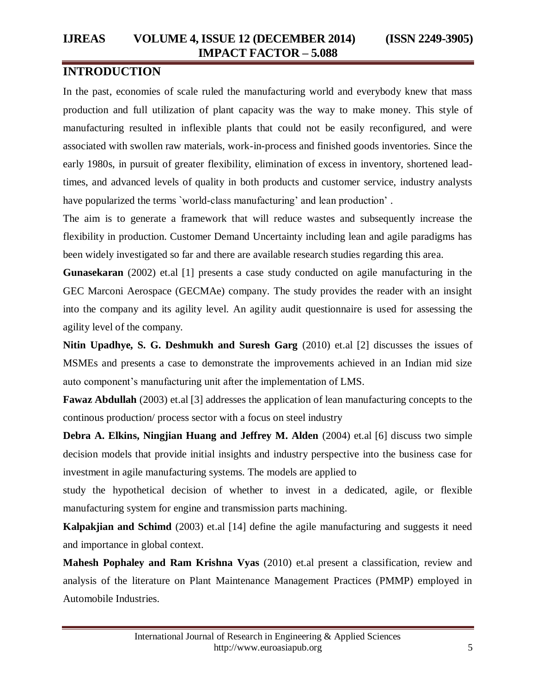# **INTRODUCTION**

In the past, economies of scale ruled the manufacturing world and everybody knew that mass production and full utilization of plant capacity was the way to make money. This style of manufacturing resulted in inflexible plants that could not be easily reconfigured, and were associated with swollen raw materials, work-in-process and finished goods inventories. Since the early 1980s, in pursuit of greater flexibility, elimination of excess in inventory, shortened leadtimes, and advanced levels of quality in both products and customer service, industry analysts have popularized the terms `world-class manufacturing' and lean production'.

The aim is to generate a framework that will reduce wastes and subsequently increase the flexibility in production. Customer Demand Uncertainty including lean and agile paradigms has been widely investigated so far and there are available research studies regarding this area.

**Gunasekaran** (2002) et.al [1] presents a case study conducted on agile manufacturing in the GEC Marconi Aerospace (GECMAe) company. The study provides the reader with an insight into the company and its agility level. An agility audit questionnaire is used for assessing the agility level of the company.

**Nitin Upadhye, S. G. Deshmukh and Suresh Garg** (2010) et.al [2] discusses the issues of MSMEs and presents a case to demonstrate the improvements achieved in an Indian mid size auto component's manufacturing unit after the implementation of LMS.

**Fawaz Abdullah** (2003) et.al [3] addresses the application of lean manufacturing concepts to the continous production/ process sector with a focus on steel industry

**Debra A. Elkins, Ningjian Huang and Jeffrey M. Alden** (2004) et.al [6] discuss two simple decision models that provide initial insights and industry perspective into the business case for investment in agile manufacturing systems. The models are applied to

study the hypothetical decision of whether to invest in a dedicated, agile, or flexible manufacturing system for engine and transmission parts machining.

**Kalpakjian and Schimd** (2003) et.al [14] define the agile manufacturing and suggests it need and importance in global context.

**Mahesh Pophaley and Ram Krishna Vyas** (2010) et.al present a classification, review and analysis of the literature on Plant Maintenance Management Practices (PMMP) employed in Automobile Industries.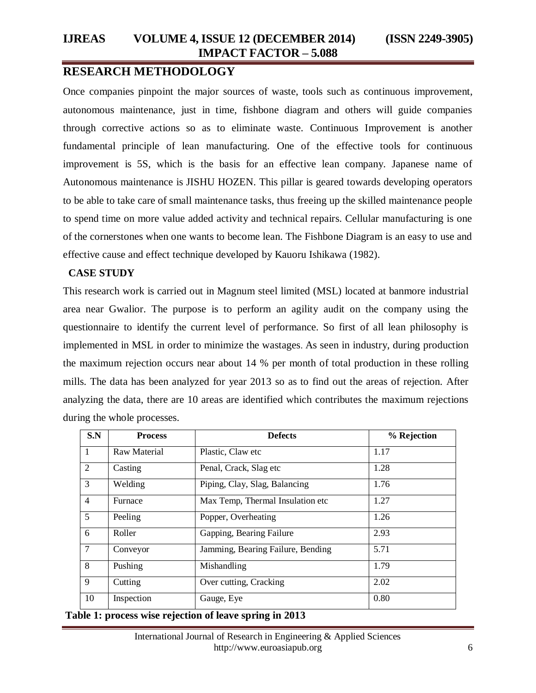# **RESEARCH METHODOLOGY**

Once companies pinpoint the major sources of waste, tools such as continuous improvement, autonomous maintenance, just in time, fishbone diagram and others will guide companies through corrective actions so as to eliminate waste. Continuous Improvement is another fundamental principle of lean manufacturing. One of the effective tools for continuous improvement is 5S, which is the basis for an effective lean company. Japanese name of Autonomous maintenance is JISHU HOZEN. This pillar is geared towards developing operators to be able to take care of small maintenance tasks, thus freeing up the skilled maintenance people to spend time on more value added activity and technical repairs. Cellular manufacturing is one of the cornerstones when one wants to become lean. The Fishbone Diagram is an easy to use and effective cause and effect technique developed by Kauoru Ishikawa (1982).

#### **CASE STUDY**

This research work is carried out in Magnum steel limited (MSL) located at banmore industrial area near Gwalior. The purpose is to perform an agility audit on the company using the questionnaire to identify the current level of performance. So first of all lean philosophy is implemented in MSL in order to minimize the wastages. As seen in industry, during production the maximum rejection occurs near about 14 % per month of total production in these rolling mills. The data has been analyzed for year 2013 so as to find out the areas of rejection. After analyzing the data, there are 10 areas are identified which contributes the maximum rejections during the whole processes.

| S.N            | <b>Process</b> | <b>Defects</b>                    | % Rejection |
|----------------|----------------|-----------------------------------|-------------|
| $\mathbf{1}$   | Raw Material   | Plastic, Claw etc                 | 1.17        |
| 2              | Casting        | Penal, Crack, Slag etc            | 1.28        |
| 3              | Welding        | Piping, Clay, Slag, Balancing     | 1.76        |
| $\overline{4}$ | Furnace        | Max Temp, Thermal Insulation etc  | 1.27        |
| $5^{\circ}$    | Peeling        | Popper, Overheating               | 1.26        |
| 6              | Roller         | Gapping, Bearing Failure          | 2.93        |
| $\tau$         | Conveyor       | Jamming, Bearing Failure, Bending | 5.71        |
| 8              | Pushing        | Mishandling                       | 1.79        |
| 9              | Cutting        | Over cutting, Cracking            | 2.02        |
| 10             | Inspection     | Gauge, Eye                        | 0.80        |

**Table 1: process wise rejection of leave spring in 2013**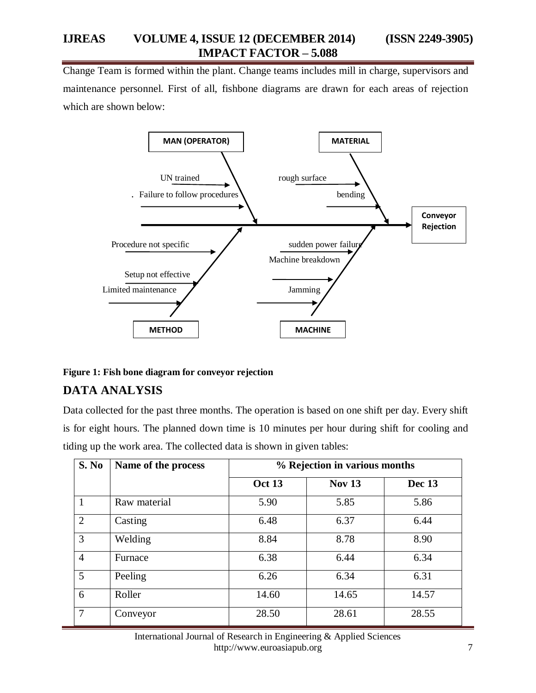Change Team is formed within the plant. Change teams includes mill in charge, supervisors and maintenance personnel. First of all, fishbone diagrams are drawn for each areas of rejection which are shown below:



#### **Figure 1: Fish bone diagram for conveyor rejection**

## **DATA ANALYSIS**

Data collected for the past three months. The operation is based on one shift per day. Every shift is for eight hours. The planned down time is 10 minutes per hour during shift for cooling and tiding up the work area. The collected data is shown in given tables:

| S. No          | Name of the process |               | % Rejection in various months |        |  |  |  |  |
|----------------|---------------------|---------------|-------------------------------|--------|--|--|--|--|
|                |                     | <b>Oct 13</b> | <b>Nov 13</b>                 | Dec 13 |  |  |  |  |
| $\mathbf{1}$   | Raw material        | 5.90          | 5.85                          | 5.86   |  |  |  |  |
| 2              | Casting             | 6.48          | 6.37                          | 6.44   |  |  |  |  |
| 3              | Welding             | 8.84          | 8.78                          | 8.90   |  |  |  |  |
| $\overline{4}$ | Furnace             | 6.38          | 6.44                          | 6.34   |  |  |  |  |
| 5              | Peeling             | 6.26          | 6.34                          | 6.31   |  |  |  |  |
| 6              | Roller              | 14.60         | 14.65                         | 14.57  |  |  |  |  |
| $\overline{7}$ | Conveyor            | 28.50         | 28.61                         | 28.55  |  |  |  |  |

International Journal of Research in Engineering & Applied Sciences http://www.euroasiapub.org 7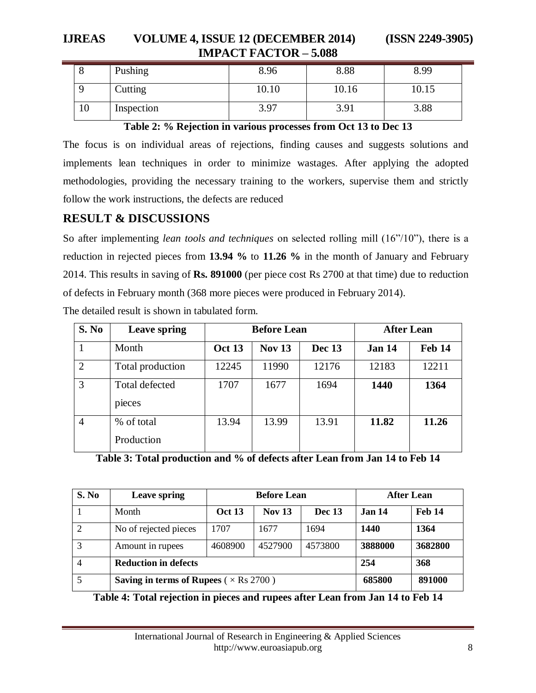# **IJREAS VOLUME 4, ISSUE 12 (DECEMBER 2014) (ISSN 2249-3905) IMPACT FACTOR – 5.088**

|    | Pushing        | 8.96  | 8.88  | 8.99  |
|----|----------------|-------|-------|-------|
|    | <b>Cutting</b> | 10.10 | 10.16 | 10.15 |
| 10 | Inspection     | 3.97  | 3.91  | 3.88  |

#### **Table 2: % Rejection in various processes from Oct 13 to Dec 13**

The focus is on individual areas of rejections, finding causes and suggests solutions and implements lean techniques in order to minimize wastages. After applying the adopted methodologies, providing the necessary training to the workers, supervise them and strictly follow the work instructions, the defects are reduced

# **RESULT & DISCUSSIONS**

So after implementing *lean tools and techniques* on selected rolling mill (16"/10"), there is a reduction in rejected pieces from **13.94 %** to **11.26 %** in the month of January and February 2014. This results in saving of **Rs. 891000** (per piece cost Rs 2700 at that time) due to reduction of defects in February month (368 more pieces were produced in February 2014).

| S. No          | Leave spring             |               | <b>Before Lean</b> | <b>After Lean</b> |        |               |
|----------------|--------------------------|---------------|--------------------|-------------------|--------|---------------|
|                | Month                    | <b>Oct 13</b> | <b>Nov 13</b>      | Dec 13            | Jan 14 | <b>Feb 14</b> |
| $\overline{2}$ | Total production         | 12245         | 11990              | 12176             | 12183  | 12211         |
| 3              | Total defected<br>pieces | 1707          | 1677               | 1694              | 1440   | 1364          |
| $\overline{4}$ | % of total<br>Production | 13.94         | 13.99              | 13.91             | 11.82  | 11.26         |

The detailed result is shown in tabulated form.

**Table 3: Total production and % of defects after Lean from Jan 14 to Feb 14**

| S. No          | <b>Leave spring</b>                                  |               | <b>Before Lean</b> | After Lean    |               |         |
|----------------|------------------------------------------------------|---------------|--------------------|---------------|---------------|---------|
|                | Month                                                | <b>Oct 13</b> | <b>Nov 13</b>      | <b>Dec</b> 13 | <b>Jan 14</b> | Feb 14  |
| 2              | No of rejected pieces                                | 1707          | 1677               | 1694          | 1440          | 1364    |
| 3              | Amount in rupees                                     | 4608900       | 4527900            | 4573800       | 3888000       | 3682800 |
| $\overline{4}$ | <b>Reduction in defects</b>                          | 254           | 368                |               |               |         |
|                | <b>Saving in terms of Rupees</b> ( $\times$ Rs 2700) | 685800        | 891000             |               |               |         |

**Table 4: Total rejection in pieces and rupees after Lean from Jan 14 to Feb 14**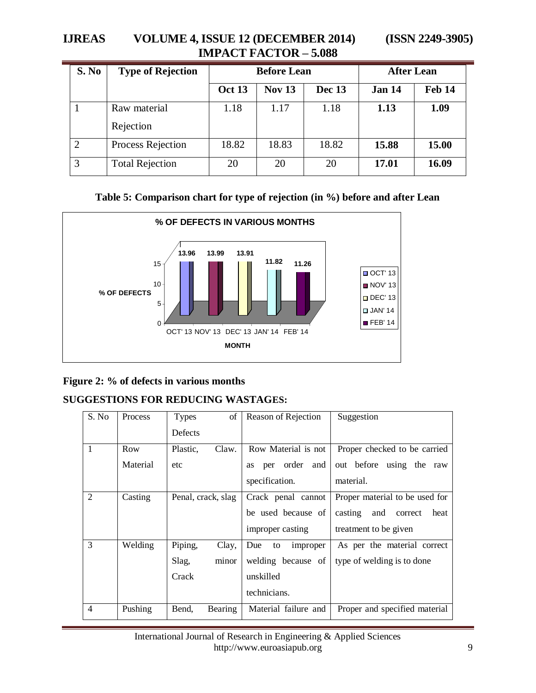# **IJREAS VOLUME 4, ISSUE 12 (DECEMBER 2014) (ISSN 2249-3905) IMPACT FACTOR – 5.088**

| S. No | <b>Type of Rejection</b> |        | <b>Before Lean</b> | <b>After Lean</b> |               |               |
|-------|--------------------------|--------|--------------------|-------------------|---------------|---------------|
|       |                          | Oct 13 | <b>Nov 13</b>      | <b>Dec 13</b>     | <b>Jan 14</b> | <b>Feb 14</b> |
|       | Raw material             | 1.18   | 1.17               | 1.18              | 1.13          | 1.09          |
|       | Rejection                |        |                    |                   |               |               |
| 2     | Process Rejection        | 18.82  | 18.83              | 18.82             | 15.88         | 15.00         |
| 3     | <b>Total Rejection</b>   | 20     | 20                 | 20                | 17.01         | 16.09         |



## **Figure 2: % of defects in various months**

# **SUGGESTIONS FOR REDUCING WASTAGES:**

| S. No          | <b>Process</b> | <b>Types</b>       | of             |                | Reason of Rejection  |     | Suggestion                        |
|----------------|----------------|--------------------|----------------|----------------|----------------------|-----|-----------------------------------|
|                |                | <b>Defects</b>     |                |                |                      |     |                                   |
| $\mathbf{1}$   | Row            | Plastic,           | Claw.          |                | Row Material is not  |     | Proper checked to be carried      |
|                | Material       | etc                |                | per<br>as      | order                | and | out before<br>using the raw       |
|                |                |                    |                | specification. |                      |     | material.                         |
| $\overline{2}$ | Casting        | Penal, crack, slag |                |                | Crack penal cannot   |     | Proper material to be used for    |
|                |                |                    |                |                | be used because of   |     | casting<br>and<br>correct<br>heat |
|                |                |                    |                |                | improper casting     |     | treatment to be given             |
| 3              | Welding        | Piping,            | Clay,          | Due<br>to      | improper             |     | As per the material correct       |
|                |                | Slag,              | minor          |                | welding because of   |     | type of welding is to done        |
|                |                | Crack              |                | unskilled      |                      |     |                                   |
|                |                |                    |                | technicians.   |                      |     |                                   |
| $\overline{4}$ | Pushing        | Bend,              | <b>Bearing</b> |                | Material failure and |     | Proper and specified material     |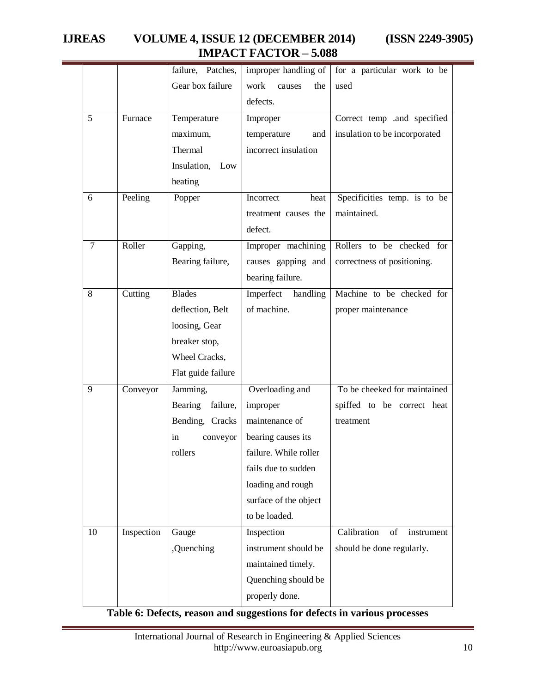# **IJREAS VOLUME 4, ISSUE 12 (DECEMBER 2014) (ISSN 2249-3905) IMPACT FACTOR – 5.088**

|    |            | failure, Patches,  | improper handling of  | for a particular work to be     |
|----|------------|--------------------|-----------------------|---------------------------------|
|    |            | Gear box failure   | work<br>the<br>causes | used                            |
|    |            |                    | defects.              |                                 |
| 5  | Furnace    | Temperature        | Improper              | Correct temp and specified      |
|    |            | maximum,           | temperature<br>and    | insulation to be incorporated   |
|    |            | Thermal            | incorrect insulation  |                                 |
|    |            | Insulation, Low    |                       |                                 |
|    |            | heating            |                       |                                 |
| 6  | Peeling    | Popper             | Incorrect<br>heat     | Specificities temp. is to be    |
|    |            |                    | treatment causes the  | maintained.                     |
|    |            |                    | defect.               |                                 |
| 7  | Roller     | Gapping,           | Improper machining    | Rollers to be checked for       |
|    |            | Bearing failure,   | causes gapping and    | correctness of positioning.     |
|    |            |                    | bearing failure.      |                                 |
| 8  | Cutting    | <b>Blades</b>      | Imperfect handling    | Machine to be checked for       |
|    |            | deflection, Belt   | of machine.           | proper maintenance              |
|    |            | loosing, Gear      |                       |                                 |
|    |            | breaker stop,      |                       |                                 |
|    |            | Wheel Cracks,      |                       |                                 |
|    |            | Flat guide failure |                       |                                 |
| 9  | Conveyor   | Jamming,           | Overloading and       | To be cheeked for maintained    |
|    |            | Bearing failure,   | improper              | spiffed to be correct heat      |
|    |            | Bending, Cracks    | maintenance of        | treatment                       |
|    |            | in<br>conveyor     | bearing causes its    |                                 |
|    |            | rollers            | failure. While roller |                                 |
|    |            |                    | fails due to sudden   |                                 |
|    |            |                    | loading and rough     |                                 |
|    |            |                    | surface of the object |                                 |
|    |            |                    | to be loaded.         |                                 |
| 10 | Inspection | Gauge              | Inspection            | Calibration<br>of<br>instrument |
|    |            | ,Quenching         | instrument should be  | should be done regularly.       |
|    |            |                    | maintained timely.    |                                 |
|    |            |                    | Quenching should be   |                                 |
|    |            |                    | properly done.        |                                 |

## **Table 6: Defects, reason and suggestions for defects in various processes**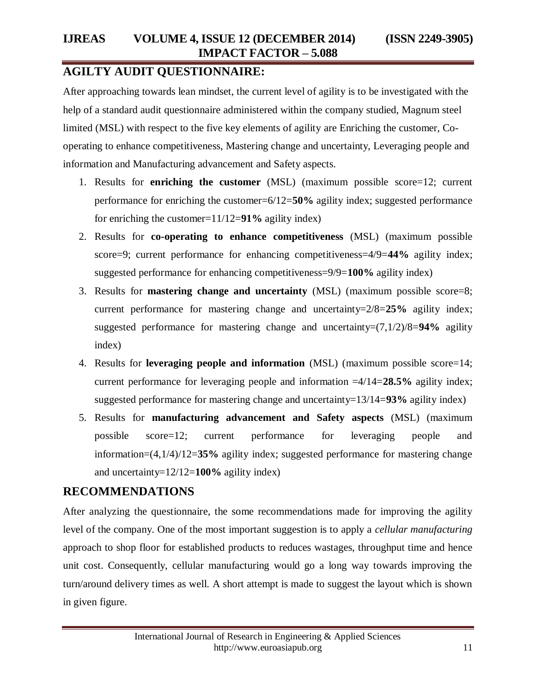# **AGILTY AUDIT QUESTIONNAIRE:**

After approaching towards lean mindset, the current level of agility is to be investigated with the help of a standard audit questionnaire administered within the company studied, Magnum steel limited (MSL) with respect to the five key elements of agility are Enriching the customer, Cooperating to enhance competitiveness, Mastering change and uncertainty, Leveraging people and information and Manufacturing advancement and Safety aspects.

- 1. Results for **enriching the customer** (MSL) (maximum possible score=12; current performance for enriching the customer=6/12=**50%** agility index; suggested performance for enriching the customer=11/12=**91%** agility index)
- 2. Results for **co-operating to enhance competitiveness** (MSL) (maximum possible score=9; current performance for enhancing competitiveness=4/9=**44%** agility index; suggested performance for enhancing competitiveness=9/9=**100%** agility index)
- 3. Results for **mastering change and uncertainty** (MSL) (maximum possible score=8; current performance for mastering change and uncertainty=2/8=**25%** agility index; suggested performance for mastering change and uncertainty=(7,1/2)/8=**94%** agility index)
- 4. Results for **leveraging people and information** (MSL) (maximum possible score=14; current performance for leveraging people and information =4/14=**28.5%** agility index; suggested performance for mastering change and uncertainty=13/14=**93%** agility index)
- 5. Results for **manufacturing advancement and Safety aspects** (MSL) (maximum possible score=12; current performance for leveraging people and information=(4,1/4)/12=**35%** agility index; suggested performance for mastering change and uncertainty=12/12=**100%** agility index)

# **RECOMMENDATIONS**

After analyzing the questionnaire, the some recommendations made for improving the agility level of the company. One of the most important suggestion is to apply a *cellular manufacturing* approach to shop floor for established products to reduces wastages, throughput time and hence unit cost. Consequently, cellular manufacturing would go a long way towards improving the turn/around delivery times as well. A short attempt is made to suggest the layout which is shown in given figure.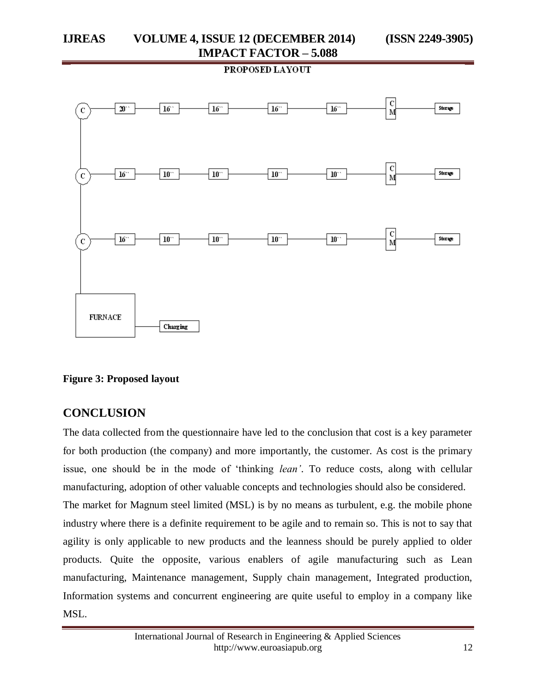PROPOSED LAYOUT



**Figure 3: Proposed layout**

## **CONCLUSION**

The data collected from the questionnaire have led to the conclusion that cost is a key parameter for both production (the company) and more importantly, the customer. As cost is the primary issue, one should be in the mode of "thinking *lean'*. To reduce costs, along with cellular manufacturing, adoption of other valuable concepts and technologies should also be considered. The market for Magnum steel limited (MSL) is by no means as turbulent, e.g. the mobile phone industry where there is a definite requirement to be agile and to remain so. This is not to say that agility is only applicable to new products and the leanness should be purely applied to older products. Quite the opposite, various enablers of agile manufacturing such as Lean manufacturing, Maintenance management, Supply chain management, Integrated production, Information systems and concurrent engineering are quite useful to employ in a company like MSL.